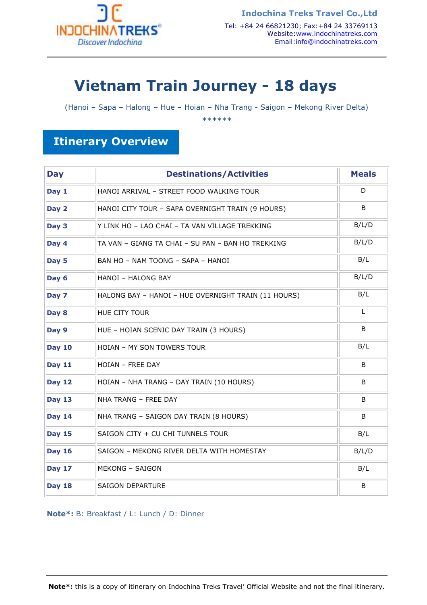

# **Vietnam Train Journey - 18 days**

(Hanoi – Sapa – Halong – Hue – Hoian – Nha Trang - Saigon – Mekong River Delta)

*\*\*\*\*\*\** 

# **Itinerary Overview**

| <b>Day</b>    | <b>Destinations/Activities</b>                      | <b>Meals</b> |
|---------------|-----------------------------------------------------|--------------|
| Day 1         | HANOI ARRIVAL - STREET FOOD WALKING TOUR            | D            |
| Day 2         | HANOI CITY TOUR - SAPA OVERNIGHT TRAIN (9 HOURS)    | B            |
| Day 3         | Y LINK HO - LAO CHAI - TA VAN VILLAGE TREKKING      | B/L/D        |
| Day 4         | TA VAN - GIANG TA CHAI - SU PAN - BAN HO TREKKING   | B/L/D        |
| Day 5         | BAN HO - NAM TOONG - SAPA - HANOI                   | B/L          |
| Day 6         | <b>HANOI - HALONG BAY</b>                           | B/L/D        |
| Day 7         | HALONG BAY - HANOI - HUE OVERNIGHT TRAIN (11 HOURS) | B/L          |
| Day 8         | HUE CITY TOUR                                       | L            |
| Day 9         | HUE - HOIAN SCENIC DAY TRAIN (3 HOURS)              | B            |
| <b>Day 10</b> | HOIAN - MY SON TOWERS TOUR                          | B/L          |
| <b>Day 11</b> | HOIAN - FREE DAY                                    | B            |
| <b>Day 12</b> | HOIAN - NHA TRANG - DAY TRAIN (10 HOURS)            | B            |
| <b>Day 13</b> | NHA TRANG - FREE DAY                                | B            |
| <b>Day 14</b> | NHA TRANG - SAIGON DAY TRAIN (8 HOURS)              | B            |
| <b>Day 15</b> | SAIGON CITY + CU CHI TUNNELS TOUR                   | B/L          |
| <b>Day 16</b> | SAIGON - MEKONG RIVER DELTA WITH HOMESTAY           | B/L/D        |
| <b>Day 17</b> | <b>MEKONG - SAIGON</b>                              | B/L          |
| <b>Day 18</b> | <b>SAIGON DEPARTURE</b>                             | B            |

**Note\*:** B: Breakfast / L: Lunch / D: Dinner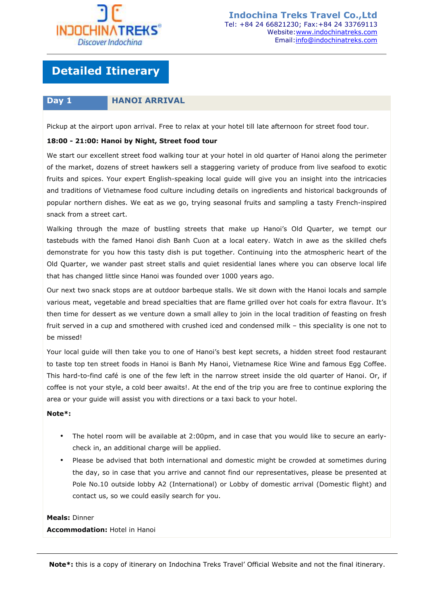

# **Detailed Itinerary**

### **Day 1 HANOI ARRIVAL**

Pickup at the airport upon arrival. Free to relax at your hotel till late afternoon for street food tour.

### **18:00 - 21:00: Hanoi by Night, Street food tour**

We start our excellent street food walking tour at your hotel in old quarter of Hanoi along the perimeter of the market, dozens of street hawkers sell a staggering variety of produce from live seafood to exotic fruits and spices. Your expert English-speaking local guide will give you an insight into the intricacies and traditions of Vietnamese food culture including details on ingredients and historical backgrounds of popular northern dishes. We eat as we go, trying seasonal fruits and sampling a tasty French-inspired snack from a street cart.

Walking through the maze of bustling streets that make up Hanoi's Old Quarter, we tempt our tastebuds with the famed Hanoi dish Banh Cuon at a local eatery. Watch in awe as the skilled chefs demonstrate for you how this tasty dish is put together. Continuing into the atmospheric heart of the Old Quarter, we wander past street stalls and quiet residential lanes where you can observe local life that has changed little since Hanoi was founded over 1000 years ago.

Our next two snack stops are at outdoor barbeque stalls. We sit down with the Hanoi locals and sample various meat, vegetable and bread specialties that are flame grilled over hot coals for extra flavour. It's then time for dessert as we venture down a small alley to join in the local tradition of feasting on fresh fruit served in a cup and smothered with crushed iced and condensed milk – this speciality is one not to be missed!

Your local guide will then take you to one of Hanoi's best kept secrets, a hidden street food restaurant to taste top ten street foods in Hanoi is Banh My Hanoi, Vietnamese Rice Wine and famous Egg Coffee. This hard-to-find café is one of the few left in the narrow street inside the old quarter of Hanoi. Or, if coffee is not your style, a cold beer awaits!. At the end of the trip you are free to continue exploring the area or your guide will assist you with directions or a taxi back to your hotel.

### **Note\*:**

- The hotel room will be available at 2:00pm, and in case that you would like to secure an earlycheck in, an additional charge will be applied.
- Please be advised that both international and domestic might be crowded at sometimes during the day, so in case that you arrive and cannot find our representatives, please be presented at Pole No.10 outside lobby A2 (International) or Lobby of domestic arrival (Domestic flight) and contact us, so we could easily search for you.

### **Meals:** Dinner

**Accommodation:** Hotel in Hanoi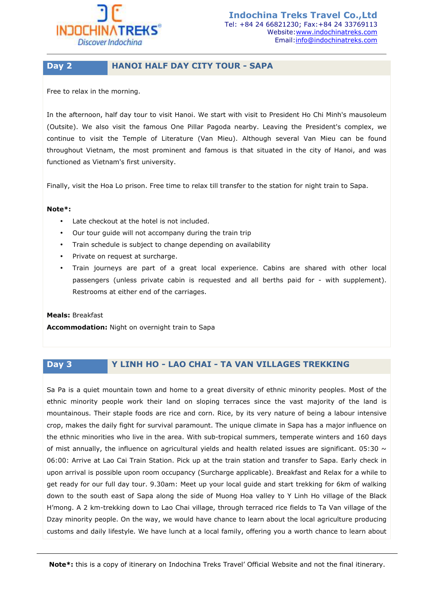

### **Day 2 HANOI HALF DAY CITY TOUR - SAPA**

Free to relax in the morning.

In the afternoon, half day tour to visit Hanoi. We start with visit to President Ho Chi Minh's mausoleum (Outsite). We also visit the famous One Pillar Pagoda nearby. Leaving the President's complex, we continue to visit the Temple of Literature (Van Mieu). Although several Van Mieu can be found throughout Vietnam, the most prominent and famous is that situated in the city of Hanoi, and was functioned as Vietnam's first university.

Finally, visit the Hoa Lo prison. Free time to relax till transfer to the station for night train to Sapa.

### **Note\*:**

- Late checkout at the hotel is not included.
- Our tour guide will not accompany during the train trip
- Train schedule is subject to change depending on availability
- Private on request at surcharge.
- Train journeys are part of a great local experience. Cabins are shared with other local passengers (unless private cabin is requested and all berths paid for - with supplement). Restrooms at either end of the carriages.

**Meals:** Breakfast **Accommodation:** Night on overnight train to Sapa

# **Day 3 Y LINH HO - LAO CHAI - TA VAN VILLAGES TREKKING**

Sa Pa is a quiet mountain town and home to a great diversity of ethnic minority peoples. Most of the ethnic minority people work their land on sloping terraces since the vast majority of the land is mountainous. Their staple foods are rice and corn. Rice, by its very nature of being a labour intensive crop, makes the daily fight for survival paramount. The unique climate in Sapa has a major influence on the ethnic minorities who live in the area. With sub-tropical summers, temperate winters and 160 days of mist annually, the influence on agricultural yields and health related issues are significant. 05:30  $\sim$ 06:00: Arrive at Lao Cai Train Station. Pick up at the train station and transfer to Sapa. Early check in upon arrival is possible upon room occupancy (Surcharge applicable). Breakfast and Relax for a while to get ready for our full day tour. 9.30am: Meet up your local guide and start trekking for 6km of walking down to the south east of Sapa along the side of Muong Hoa valley to Y Linh Ho village of the Black H'mong. A 2 km-trekking down to Lao Chai village, through terraced rice fields to Ta Van village of the Dzay minority people. On the way, we would have chance to learn about the local agriculture producing customs and daily lifestyle. We have lunch at a local family, offering you a worth chance to learn about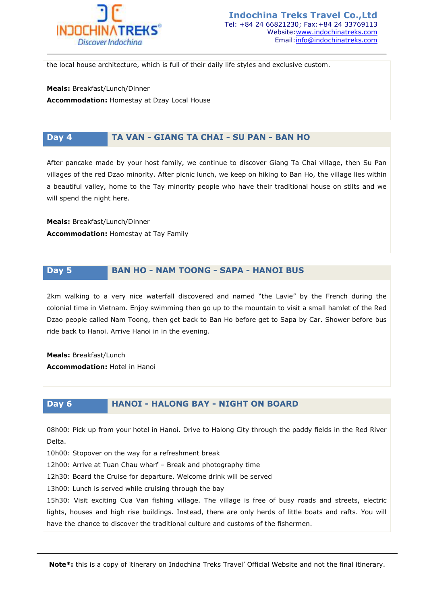

the local house architecture, which is full of their daily life styles and exclusive custom.

**Meals:** Breakfast/Lunch/Dinner

**Accommodation:** Homestay at Dzay Local House

# **Day 4 TA VAN - GIANG TA CHAI - SU PAN - BAN HO**

After pancake made by your host family, we continue to discover Giang Ta Chai village, then Su Pan villages of the red Dzao minority. After picnic lunch, we keep on hiking to Ban Ho, the village lies within a beautiful valley, home to the Tay minority people who have their traditional house on stilts and we will spend the night here.

**Meals:** Breakfast/Lunch/Dinner **Accommodation:** Homestay at Tay Family

### **Day 5 BAN HO - NAM TOONG - SAPA - HANOI BUS**

2km walking to a very nice waterfall discovered and named "the Lavie" by the French during the colonial time in Vietnam. Enjoy swimming then go up to the mountain to visit a small hamlet of the Red Dzao people called Nam Toong, then get back to Ban Ho before get to Sapa by Car. Shower before bus ride back to Hanoi. Arrive Hanoi in in the evening.

**Meals:** Breakfast/Lunch **Accommodation:** Hotel in Hanoi

# **Day 6 HANOI - HALONG BAY - NIGHT ON BOARD**

08h00: Pick up from your hotel in Hanoi. Drive to Halong City through the paddy fields in the Red River Delta.

10h00: Stopover on the way for a refreshment break

12h00: Arrive at Tuan Chau wharf – Break and photography time

12h30: Board the Cruise for departure. Welcome drink will be served

13h00: Lunch is served while cruising through the bay

15h30: Visit exciting Cua Van fishing village. The village is free of busy roads and streets, electric lights, houses and high rise buildings. Instead, there are only herds of little boats and rafts. You will have the chance to discover the traditional culture and customs of the fishermen.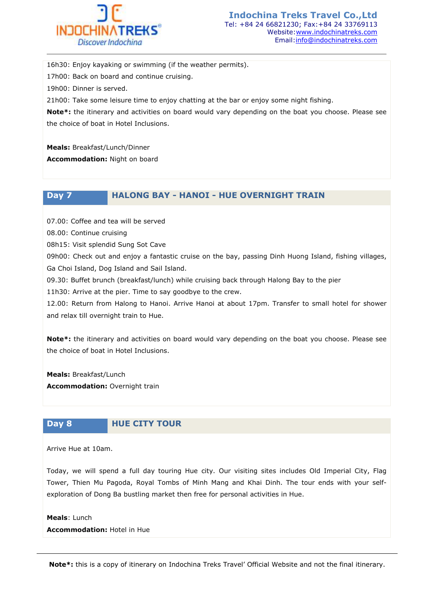

16h30: Enjoy kayaking or swimming (if the weather permits). 17h00: Back on board and continue cruising. 19h00: Dinner is served. 21h00: Take some leisure time to enjoy chatting at the bar or enjoy some night fishing. **Note\*:** the itinerary and activities on board would vary depending on the boat you choose. Please see the choice of boat in Hotel Inclusions.

**Meals:** Breakfast/Lunch/Dinner

**Accommodation:** Night on board

**Day 7 HALONG BAY - HANOI - HUE OVERNIGHT TRAIN**

07.00: Coffee and tea will be served

08.00: Continue cruising

08h15: Visit splendid Sung Sot Cave

09h00: Check out and enjoy a fantastic cruise on the bay, passing Dinh Huong Island, fishing villages, Ga Choi Island, Dog Island and Sail Island.

09.30: Buffet brunch (breakfast/lunch) while cruising back through Halong Bay to the pier

11h30: Arrive at the pier. Time to say goodbye to the crew.

12.00: Return from Halong to Hanoi. Arrive Hanoi at about 17pm. Transfer to small hotel for shower and relax till overnight train to Hue.

**Note\*:** the itinerary and activities on board would vary depending on the boat you choose. Please see the choice of boat in Hotel Inclusions.

**Meals:** Breakfast/Lunch **Accommodation:** Overnight train

# **Day 8 HUE CITY TOUR**

Arrive Hue at 10am.

Today, we will spend a full day touring Hue city. Our visiting sites includes Old Imperial City, Flag Tower, Thien Mu Pagoda, Royal Tombs of Minh Mang and Khai Dinh. The tour ends with your selfexploration of Dong Ba bustling market then free for personal activities in Hue.

**Meals**: Lunch **Accommodation:** Hotel in Hue

**Note\*:** this is a copy of itinerary on Indochina Treks Travel' Official Website and not the final itinerary.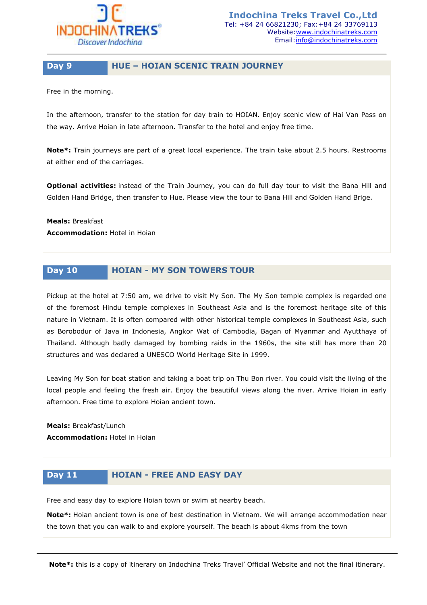

### **Day 9 HUE – HOIAN SCENIC TRAIN JOURNEY**

Free in the morning.

In the afternoon, transfer to the station for day train to HOIAN. Enjoy scenic view of Hai Van Pass on the way. Arrive Hoian in late afternoon. Transfer to the hotel and enjoy free time.

**Note\*:** Train journeys are part of a great local experience. The train take about 2.5 hours. Restrooms at either end of the carriages.

**Optional activities:** instead of the Train Journey, you can do full day tour to visit the Bana Hill and Golden Hand Bridge, then transfer to Hue. Please view the tour to Bana Hill and Golden Hand Brige.

**Meals:** Breakfast **Accommodation:** Hotel in Hoian

# **Day 10 HOIAN - MY SON TOWERS TOUR**

Pickup at the hotel at 7:50 am, we drive to visit My Son. The My Son temple complex is regarded one of the foremost Hindu temple complexes in Southeast Asia and is the foremost heritage site of this nature in Vietnam. It is often compared with other historical temple complexes in Southeast Asia, such as Borobodur of Java in Indonesia, Angkor Wat of Cambodia, Bagan of Myanmar and Ayutthaya of Thailand. Although badly damaged by bombing raids in the 1960s, the site still has more than 20 structures and was declared a UNESCO World Heritage Site in 1999.

Leaving My Son for boat station and taking a boat trip on Thu Bon river. You could visit the living of the local people and feeling the fresh air. Enjoy the beautiful views along the river. Arrive Hoian in early afternoon. Free time to explore Hoian ancient town.

**Meals:** Breakfast/Lunch **Accommodation:** Hotel in Hoian

# **Day 11 HOIAN - FREE AND EASY DAY**

Free and easy day to explore Hoian town or swim at nearby beach.

**Note\*:** Hoian ancient town is one of best destination in Vietnam. We will arrange accommodation near the town that you can walk to and explore yourself. The beach is about 4kms from the town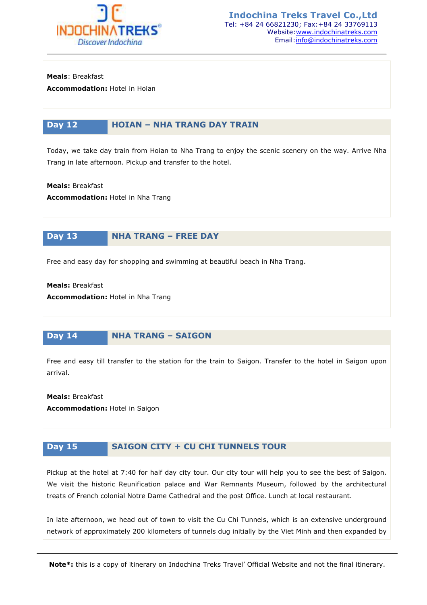

**Meals**: Breakfast

**Accommodation:** Hotel in Hoian

# **Day 12 HOIAN – NHA TRANG DAY TRAIN**

Today, we take day train from Hoian to Nha Trang to enjoy the scenic scenery on the way. Arrive Nha Trang in late afternoon. Pickup and transfer to the hotel.

**Meals:** Breakfast

**Accommodation:** Hotel in Nha Trang

### **Day 13 NHA TRANG – FREE DAY**

Free and easy day for shopping and swimming at beautiful beach in Nha Trang.

**Meals:** Breakfast

**Accommodation:** Hotel in Nha Trang

### **Day 14 NHA TRANG – SAIGON**

Free and easy till transfer to the station for the train to Saigon. Transfer to the hotel in Saigon upon arrival.

**Meals:** Breakfast **Accommodation:** Hotel in Saigon

# **Day 15 SAIGON CITY + CU CHI TUNNELS TOUR**

Pickup at the hotel at 7:40 for half day city tour. Our city tour will help you to see the best of Saigon. We visit the historic Reunification palace and War Remnants Museum, followed by the architectural treats of French colonial Notre Dame Cathedral and the post Office. Lunch at local restaurant.

In late afternoon, we head out of town to visit the Cu Chi Tunnels, which is an extensive underground network of approximately 200 kilometers of tunnels dug initially by the Viet Minh and then expanded by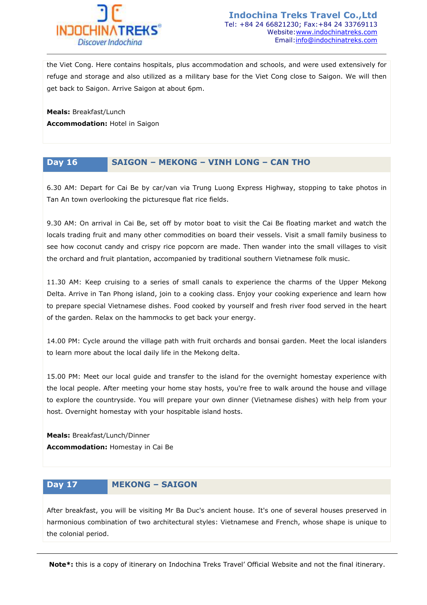

the Viet Cong. Here contains hospitals, plus accommodation and schools, and were used extensively for refuge and storage and also utilized as a military base for the Viet Cong close to Saigon. We will then get back to Saigon. Arrive Saigon at about 6pm.

**Meals:** Breakfast/Lunch **Accommodation:** Hotel in Saigon

# **Day 16 SAIGON – MEKONG – VINH LONG – CAN THO**

6.30 AM: Depart for Cai Be by car/van via Trung Luong Express Highway, stopping to take photos in Tan An town overlooking the picturesque flat rice fields.

9.30 AM: On arrival in Cai Be, set off by motor boat to visit the Cai Be floating market and watch the locals trading fruit and many other commodities on board their vessels. Visit a small family business to see how coconut candy and crispy rice popcorn are made. Then wander into the small villages to visit the orchard and fruit plantation, accompanied by traditional southern Vietnamese folk music.

11.30 AM: Keep cruising to a series of small canals to experience the charms of the Upper Mekong Delta. Arrive in Tan Phong island, join to a cooking class. Enjoy your cooking experience and learn how to prepare special Vietnamese dishes. Food cooked by yourself and fresh river food served in the heart of the garden. Relax on the hammocks to get back your energy.

14.00 PM: Cycle around the village path with fruit orchards and bonsai garden. Meet the local islanders to learn more about the local daily life in the Mekong delta.

15.00 PM: Meet our local guide and transfer to the island for the overnight homestay experience with the local people. After meeting your home stay hosts, you're free to walk around the house and village to explore the countryside. You will prepare your own dinner (Vietnamese dishes) with help from your host. Overnight homestay with your hospitable island hosts.

**Meals:** Breakfast/Lunch/Dinner **Accommodation:** Homestay in Cai Be

# **Day 17 MEKONG – SAIGON**

After breakfast, you will be visiting Mr Ba Duc's ancient house. It's one of several houses preserved in harmonious combination of two architectural styles: Vietnamese and French, whose shape is unique to the colonial period.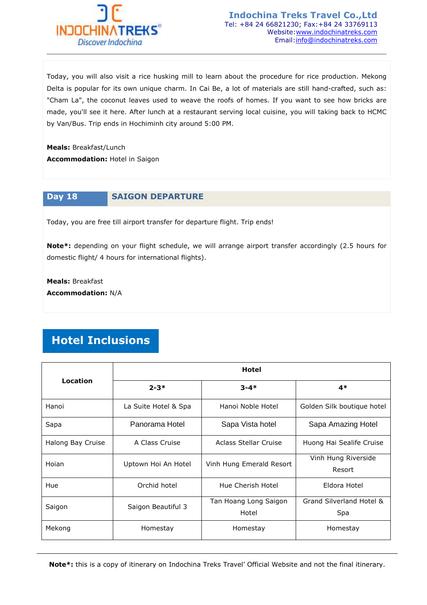

Today, you will also visit a rice husking mill to learn about the procedure for rice production. Mekong Delta is popular for its own unique charm. In Cai Be, a lot of materials are still hand-crafted, such as: "Cham La", the coconut leaves used to weave the roofs of homes. If you want to see how bricks are made, you'll see it here. After lunch at a restaurant serving local cuisine, you will taking back to HCMC by Van/Bus. Trip ends in Hochiminh city around 5:00 PM.

**Meals:** Breakfast/Lunch

**Accommodation:** Hotel in Saigon

# **Day 18 SAIGON DEPARTURE**

Today, you are free till airport transfer for departure flight. Trip ends!

**Note\*:** depending on your flight schedule, we will arrange airport transfer accordingly (2.5 hours for domestic flight/ 4 hours for international flights).

**Meals:** Breakfast **Accommodation:** N/A

# **Hotel Inclusions**

|                   | <b>Hotel</b>         |                                |                                 |  |
|-------------------|----------------------|--------------------------------|---------------------------------|--|
| Location          | $2 - 3*$             | $3 - 4*$                       | $4*$                            |  |
| Hanoi             | La Suite Hotel & Spa | Hanoi Noble Hotel              | Golden Silk boutique hotel      |  |
| Sapa              | Panorama Hotel       | Sapa Vista hotel               | Sapa Amazing Hotel              |  |
| Halong Bay Cruise | A Class Cruise       | Aclass Stellar Cruise          | Huong Hai Sealife Cruise        |  |
| Hoian             | Uptown Hoi An Hotel  | Vinh Hung Emerald Resort       | Vinh Hung Riverside<br>Resort   |  |
| Hue               | Orchid hotel         | Hue Cherish Hotel              | Eldora Hotel                    |  |
| Saigon            | Saigon Beautiful 3   | Tan Hoang Long Saigon<br>Hotel | Grand Silverland Hotel &<br>Spa |  |
| Mekong            | Homestay             | Homestay                       | Homestay                        |  |

**Note\*:** this is a copy of itinerary on Indochina Treks Travel' Official Website and not the final itinerary.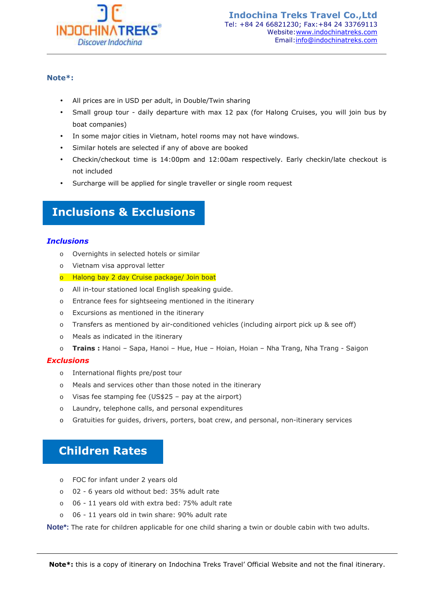

### **Note\*:**

- All prices are in USD per adult, in Double/Twin sharing
- Small group tour daily departure with max 12 pax (for Halong Cruises, you will join bus by boat companies)
- In some major cities in Vietnam, hotel rooms may not have windows.
- Similar hotels are selected if any of above are booked
- Checkin/checkout time is 14:00pm and 12:00am respectively. Early checkin/late checkout is not included
- Surcharge will be applied for single traveller or single room request

# **Inclusions & Exclusions**

### *Inclusions*

- o Overnights in selected hotels or similar
- o Vietnam visa approval letter
- o Halong bay 2 day Cruise package/ Join boat
- o All in-tour stationed local English speaking guide.
- o Entrance fees for sightseeing mentioned in the itinerary
- o Excursions as mentioned in the itinerary
- o Transfers as mentioned by air-conditioned vehicles (including airport pick up & see off)
- o Meals as indicated in the itinerary
- o **Trains :** Hanoi Sapa, Hanoi Hue, Hue Hoian, Hoian Nha Trang, Nha Trang Saigon

### *Exclusions*

- o International flights pre/post tour
- o Meals and services other than those noted in the itinerary
- o Visas fee stamping fee (US\$25 pay at the airport)
- o Laundry, telephone calls, and personal expenditures
- o Gratuities for guides, drivers, porters, boat crew, and personal, non-itinerary services

# **Children Rates**

- o FOC for infant under 2 years old
- o 02 6 years old without bed: 35% adult rate
- o 06 11 years old with extra bed: 75% adult rate
- o 06 11 years old in twin share: 90% adult rate

**Note\*:** The rate for children applicable for one child sharing a twin or double cabin with two adults.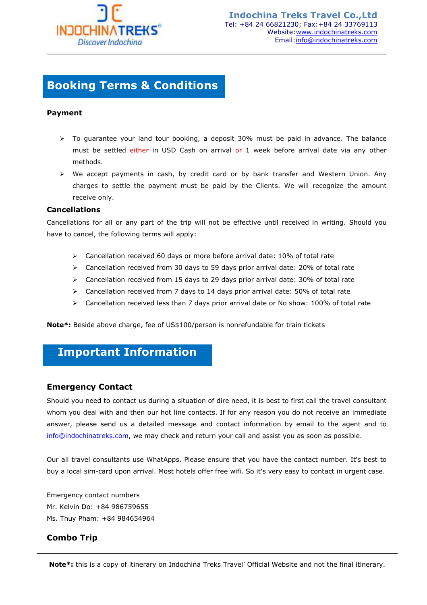

# **Booking Terms & Conditions**

### **Payment**

- $\triangleright$  To guarantee your land tour booking, a deposit 30% must be paid in advance. The balance must be settled either in USD Cash on arrival or 1 week before arrival date via any other methods.
- $\triangleright$  We accept payments in cash, by credit card or by bank transfer and Western Union. Any charges to settle the payment must be paid by the Clients. We will recognize the amount receive only.

### **Cancellations**

Cancellations for all or any part of the trip will not be effective until received in writing. Should you have to cancel, the following terms will apply:

- $\triangleright$  Cancellation received 60 days or more before arrival date: 10% of total rate
- $\triangleright$  Cancellation received from 30 days to 59 days prior arrival date: 20% of total rate
- $\triangleright$  Cancellation received from 15 days to 29 days prior arrival date: 30% of total rate
- $\triangleright$  Cancellation received from 7 days to 14 days prior arrival date: 50% of total rate
- $\triangleright$  Cancellation received less than 7 days prior arrival date or No show: 100% of total rate

**Note\*:** Beside above charge, fee of US\$100/person is nonrefundable for train tickets

# **Important Information**

### **Emergency Contact**

Should you need to contact us during a situation of dire need, it is best to first call the travel consultant whom you deal with and then our hot line contacts. If for any reason you do not receive an immediate answer, please send us a detailed message and contact information by email to the agent and to info@indochinatreks.com, we may check and return your call and assist you as soon as possible.

Our all travel consultants use WhatApps. Please ensure that you have the contact number. It's best to buy a local sim-card upon arrival. Most hotels offer free wifi. So it's very easy to contact in urgent case.

Emergency contact numbers Mr. Kelvin Do: +84 986759655 Ms. Thuy Pham: +84 984654964

### **Combo Trip**

**Note\*:** this is a copy of itinerary on Indochina Treks Travel' Official Website and not the final itinerary.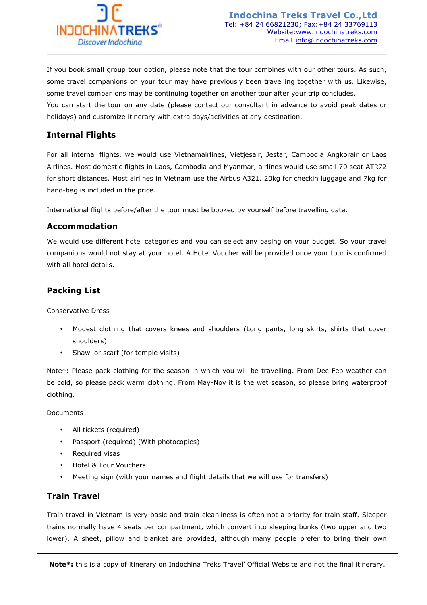

If you book small group tour option, please note that the tour combines with our other tours. As such, some travel companions on your tour may have previously been travelling together with us. Likewise, some travel companions may be continuing together on another tour after your trip concludes. You can start the tour on any date (please contact our consultant in advance to avoid peak dates or holidays) and customize itinerary with extra days/activities at any destination.

# **Internal Flights**

For all internal flights, we would use Vietnamairlines, Vietjesair, Jestar, Cambodia Angkorair or Laos Airlines. Most domestic flights in Laos, Cambodia and Myanmar, airlines would use small 70 seat ATR72 for short distances. Most airlines in Vietnam use the Airbus A321. 20kg for checkin luggage and 7kg for hand-bag is included in the price.

International flights before/after the tour must be booked by yourself before travelling date.

### **Accommodation**

We would use different hotel categories and you can select any basing on your budget. So your travel companions would not stay at your hotel. A Hotel Voucher will be provided once your tour is confirmed with all hotel details.

# **Packing List**

Conservative Dress

- Modest clothing that covers knees and shoulders (Long pants, long skirts, shirts that cover shoulders)
- Shawl or scarf (for temple visits)

Note\*: Please pack clothing for the season in which you will be travelling. From Dec-Feb weather can be cold, so please pack warm clothing. From May-Nov it is the wet season, so please bring waterproof clothing.

Documents

- All tickets (required)
- Passport (required) (With photocopies)
- Required visas
- Hotel & Tour Vouchers
- Meeting sign (with your names and flight details that we will use for transfers)

# **Train Travel**

Train travel in Vietnam is very basic and train cleanliness is often not a priority for train staff. Sleeper trains normally have 4 seats per compartment, which convert into sleeping bunks (two upper and two lower). A sheet, pillow and blanket are provided, although many people prefer to bring their own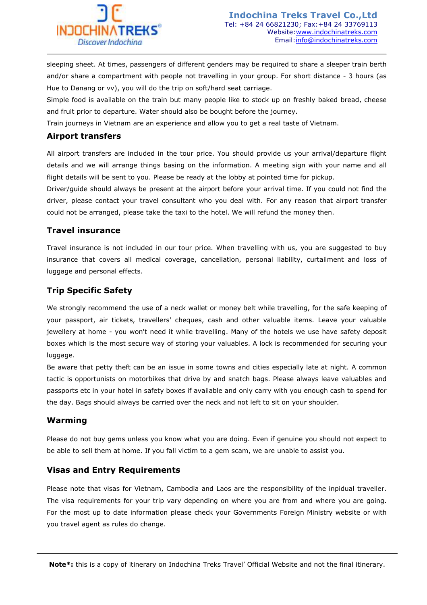

sleeping sheet. At times, passengers of different genders may be required to share a sleeper train berth and/or share a compartment with people not travelling in your group. For short distance - 3 hours (as Hue to Danang or vv), you will do the trip on soft/hard seat carriage.

Simple food is available on the train but many people like to stock up on freshly baked bread, cheese and fruit prior to departure. Water should also be bought before the journey.

Train journeys in Vietnam are an experience and allow you to get a real taste of Vietnam.

### **Airport transfers**

All airport transfers are included in the tour price. You should provide us your arrival/departure flight details and we will arrange things basing on the information. A meeting sign with your name and all flight details will be sent to you. Please be ready at the lobby at pointed time for pickup.

Driver/guide should always be present at the airport before your arrival time. If you could not find the driver, please contact your travel consultant who you deal with. For any reason that airport transfer could not be arranged, please take the taxi to the hotel. We will refund the money then.

### **Travel insurance**

Travel insurance is not included in our tour price. When travelling with us, you are suggested to buy insurance that covers all medical coverage, cancellation, personal liability, curtailment and loss of luggage and personal effects.

# **Trip Specific Safety**

We strongly recommend the use of a neck wallet or money belt while travelling, for the safe keeping of your passport, air tickets, travellers' cheques, cash and other valuable items. Leave your valuable jewellery at home - you won't need it while travelling. Many of the hotels we use have safety deposit boxes which is the most secure way of storing your valuables. A lock is recommended for securing your luggage.

Be aware that petty theft can be an issue in some towns and cities especially late at night. A common tactic is opportunists on motorbikes that drive by and snatch bags. Please always leave valuables and passports etc in your hotel in safety boxes if available and only carry with you enough cash to spend for the day. Bags should always be carried over the neck and not left to sit on your shoulder.

# **Warming**

Please do not buy gems unless you know what you are doing. Even if genuine you should not expect to be able to sell them at home. If you fall victim to a gem scam, we are unable to assist you.

### **Visas and Entry Requirements**

Please note that visas for Vietnam, Cambodia and Laos are the responsibility of the inpidual traveller. The visa requirements for your trip vary depending on where you are from and where you are going. For the most up to date information please check your Governments Foreign Ministry website or with you travel agent as rules do change.